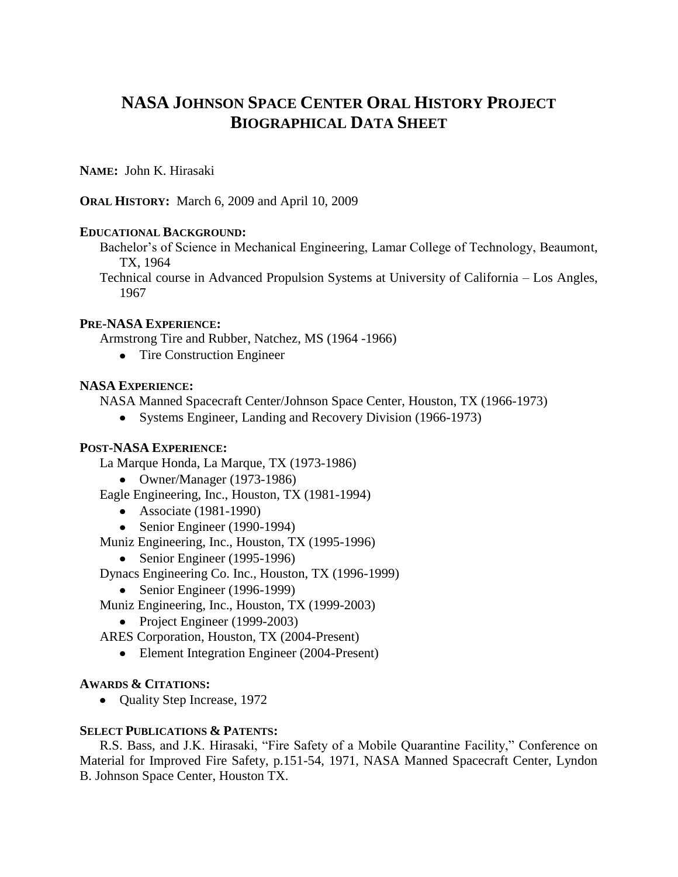# **NASA JOHNSON SPACE CENTER ORAL HISTORY PROJECT BIOGRAPHICAL DATA SHEET**

**NAME:** John K. Hirasaki

**ORAL HISTORY:** March 6, 2009 and April 10, 2009

### **EDUCATIONAL BACKGROUND:**

Bachelor's of Science in Mechanical Engineering, Lamar College of Technology, Beaumont, TX, 1964

Technical course in Advanced Propulsion Systems at University of California – Los Angles, 1967

### **PRE-NASA EXPERIENCE:**

Armstrong Tire and Rubber, Natchez, MS (1964 -1966)

• Tire Construction Engineer

## **NASA EXPERIENCE:**

NASA Manned Spacecraft Center/Johnson Space Center, Houston, TX (1966-1973)

• Systems Engineer, Landing and Recovery Division (1966-1973)

### **POST-NASA EXPERIENCE:**

La Marque Honda, La Marque, TX (1973-1986)

Owner/Manager (1973-1986)

Eagle Engineering, Inc., Houston, TX (1981-1994)

- Associate (1981-1990)
- Senior Engineer (1990-1994)

Muniz Engineering, Inc., Houston, TX (1995-1996)

• Senior Engineer (1995-1996)

Dynacs Engineering Co. Inc., Houston, TX (1996-1999)

- Senior Engineer (1996-1999)
- Muniz Engineering, Inc., Houston, TX (1999-2003)
	- Project Engineer (1999-2003)
- ARES Corporation, Houston, TX (2004-Present)
	- Element Integration Engineer (2004-Present)

#### **AWARDS & CITATIONS:**

• Quality Step Increase, 1972

#### **SELECT PUBLICATIONS & PATENTS:**

R.S. Bass, and J.K. Hirasaki, "Fire Safety of a Mobile Quarantine Facility," Conference on Material for Improved Fire Safety, p.151-54, 1971, NASA Manned Spacecraft Center, Lyndon B. Johnson Space Center, Houston TX.